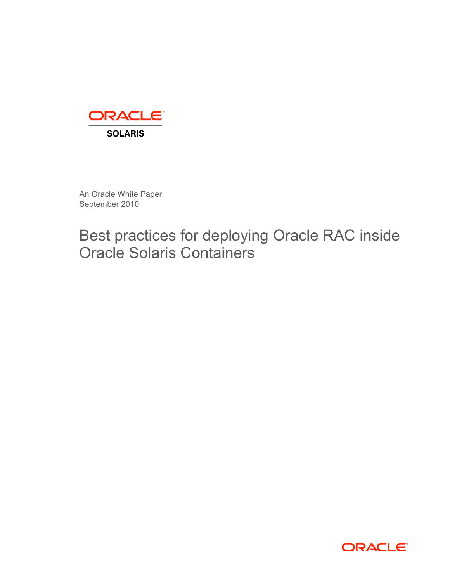

An Oracle White Paper September 2010

Best practices for deploying Oracle RAC inside Oracle Solaris Containers

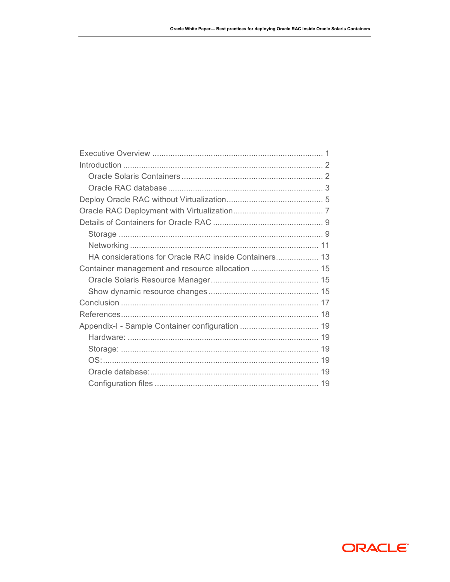| HA considerations for Oracle RAC inside Containers 13 |  |
|-------------------------------------------------------|--|
| Container management and resource allocation  15      |  |
|                                                       |  |
|                                                       |  |
|                                                       |  |
|                                                       |  |
|                                                       |  |
|                                                       |  |
|                                                       |  |
|                                                       |  |
|                                                       |  |
|                                                       |  |

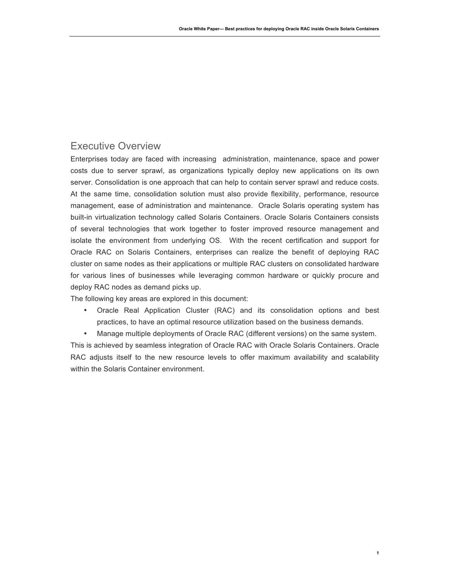## Executive Overview

Enterprises today are faced with increasing administration, maintenance, space and power costs due to server sprawl, as organizations typically deploy new applications on its own server. Consolidation is one approach that can help to contain server sprawl and reduce costs. At the same time, consolidation solution must also provide flexibility, performance, resource management, ease of administration and maintenance. Oracle Solaris operating system has built-in virtualization technology called Solaris Containers. Oracle Solaris Containers consists of several technologies that work together to foster improved resource management and isolate the environment from underlying OS. With the recent certification and support for Oracle RAC on Solaris Containers, enterprises can realize the benefit of deploying RAC cluster on same nodes as their applications or multiple RAC clusters on consolidated hardware for various lines of businesses while leveraging common hardware or quickly procure and deploy RAC nodes as demand picks up.

The following key areas are explored in this document:

- Oracle Real Application Cluster (RAC) and its consolidation options and best practices, to have an optimal resource utilization based on the business demands.
- Manage multiple deployments of Oracle RAC (different versions) on the same system.

**1**

This is achieved by seamless integration of Oracle RAC with Oracle Solaris Containers. Oracle RAC adjusts itself to the new resource levels to offer maximum availability and scalability within the Solaris Container environment.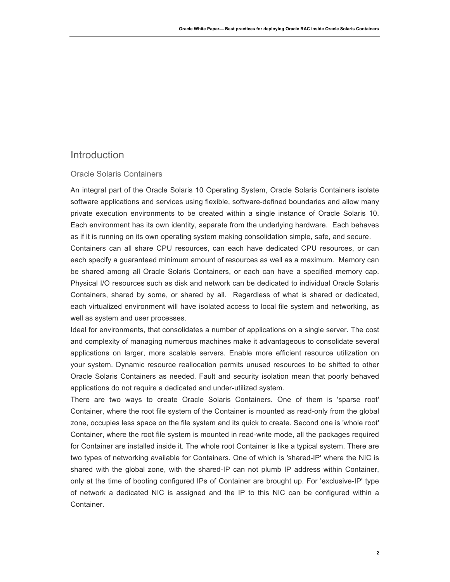## **Introduction**

### Oracle Solaris Containers

An integral part of the Oracle Solaris 10 Operating System, Oracle Solaris Containers isolate software applications and services using flexible, software-defined boundaries and allow many private execution environments to be created within a single instance of Oracle Solaris 10. Each environment has its own identity, separate from the underlying hardware. Each behaves as if it is running on its own operating system making consolidation simple, safe, and secure.

Containers can all share CPU resources, can each have dedicated CPU resources, or can each specify a guaranteed minimum amount of resources as well as a maximum. Memory can be shared among all Oracle Solaris Containers, or each can have a specified memory cap. Physical I/O resources such as disk and network can be dedicated to individual Oracle Solaris Containers, shared by some, or shared by all. Regardless of what is shared or dedicated, each virtualized environment will have isolated access to local file system and networking, as well as system and user processes.

Ideal for environments, that consolidates a number of applications on a single server. The cost and complexity of managing numerous machines make it advantageous to consolidate several applications on larger, more scalable servers. Enable more efficient resource utilization on your system. Dynamic resource reallocation permits unused resources to be shifted to other Oracle Solaris Containers as needed. Fault and security isolation mean that poorly behaved applications do not require a dedicated and under-utilized system.

There are two ways to create Oracle Solaris Containers. One of them is 'sparse root' Container, where the root file system of the Container is mounted as read-only from the global zone, occupies less space on the file system and its quick to create. Second one is 'whole root' Container, where the root file system is mounted in read-write mode, all the packages required for Container are installed inside it. The whole root Container is like a typical system. There are two types of networking available for Containers. One of which is 'shared-IP' where the NIC is shared with the global zone, with the shared-IP can not plumb IP address within Container, only at the time of booting configured IPs of Container are brought up. For 'exclusive-IP' type of network a dedicated NIC is assigned and the IP to this NIC can be configured within a Container.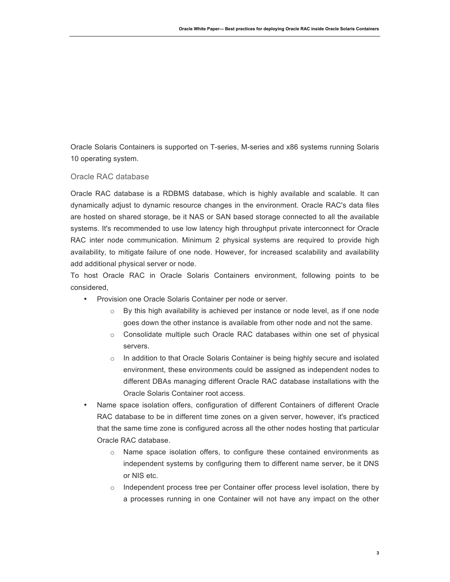Oracle Solaris Containers is supported on T-series, M-series and x86 systems running Solaris 10 operating system.

### Oracle RAC database

Oracle RAC database is a RDBMS database, which is highly available and scalable. It can dynamically adjust to dynamic resource changes in the environment. Oracle RAC's data files are hosted on shared storage, be it NAS or SAN based storage connected to all the available systems. It's recommended to use low latency high throughput private interconnect for Oracle RAC inter node communication. Minimum 2 physical systems are required to provide high availability, to mitigate failure of one node. However, for increased scalability and availability add additional physical server or node.

To host Oracle RAC in Oracle Solaris Containers environment, following points to be considered,

- Provision one Oracle Solaris Container per node or server.
	- o By this high availability is achieved per instance or node level, as if one node goes down the other instance is available from other node and not the same.
	- o Consolidate multiple such Oracle RAC databases within one set of physical servers.
	- $\circ$  In addition to that Oracle Solaris Container is being highly secure and isolated environment, these environments could be assigned as independent nodes to different DBAs managing different Oracle RAC database installations with the Oracle Solaris Container root access.
- Name space isolation offers, configuration of different Containers of different Oracle RAC database to be in different time zones on a given server, however, it's practiced that the same time zone is configured across all the other nodes hosting that particular Oracle RAC database.
	- o Name space isolation offers, to configure these contained environments as independent systems by configuring them to different name server, be it DNS or NIS etc.
	- o Independent process tree per Container offer process level isolation, there by a processes running in one Container will not have any impact on the other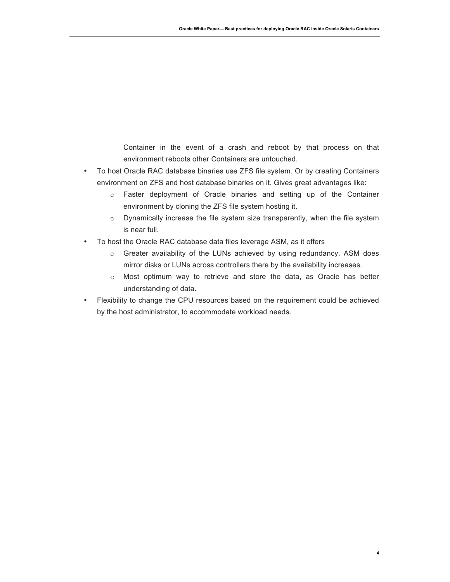Container in the event of a crash and reboot by that process on that environment reboots other Containers are untouched.

- To host Oracle RAC database binaries use ZFS file system. Or by creating Containers environment on ZFS and host database binaries on it. Gives great advantages like:
	- o Faster deployment of Oracle binaries and setting up of the Container environment by cloning the ZFS file system hosting it.
	- o Dynamically increase the file system size transparently, when the file system is near full.
- To host the Oracle RAC database data files leverage ASM, as it offers
	- $\circ$  Greater availability of the LUNs achieved by using redundancy. ASM does mirror disks or LUNs across controllers there by the availability increases.
	- $\circ$  Most optimum way to retrieve and store the data, as Oracle has better understanding of data.
- Flexibility to change the CPU resources based on the requirement could be achieved by the host administrator, to accommodate workload needs.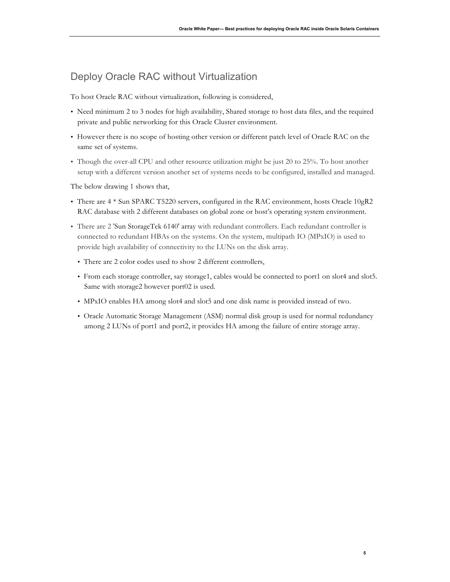## Deploy Oracle RAC without Virtualization

To host Oracle RAC without virtualization, following is considered,

- Need minimum 2 to 3 nodes for high availability, Shared storage to host data files, and the required private and public networking for this Oracle Cluster environment.
- However there is no scope of hosting other version or different patch level of Oracle RAC on the same set of systems.
- Though the over-all CPU and other resource utilization might be just 20 to 25%. To host another setup with a different version another set of systems needs to be configured, installed and managed.

The below drawing 1 shows that,

- There are 4 \* Sun SPARC T5220 servers, configured in the RAC environment, hosts Oracle 10gR2 RAC database with 2 different databases on global zone or host's operating system environment.
- There are 2 'Sun StorageTek 6140' array with redundant controllers. Each redundant controller is connected to redundant HBAs on the systems. On the system, multipath IO (MPxIO) is used to provide high availability of connectivity to the LUNs on the disk array.
	- There are 2 color codes used to show 2 different controllers,
	- From each storage controller, say storage1, cables would be connected to port1 on slot4 and slot5. Same with storage2 however port02 is used.
	- MPxIO enables HA among slot4 and slot5 and one disk name is provided instead of two.
	- Oracle Automatic Storage Management (ASM) normal disk group is used for normal redundancy among 2 LUNs of port1 and port2, it provides HA among the failure of entire storage array.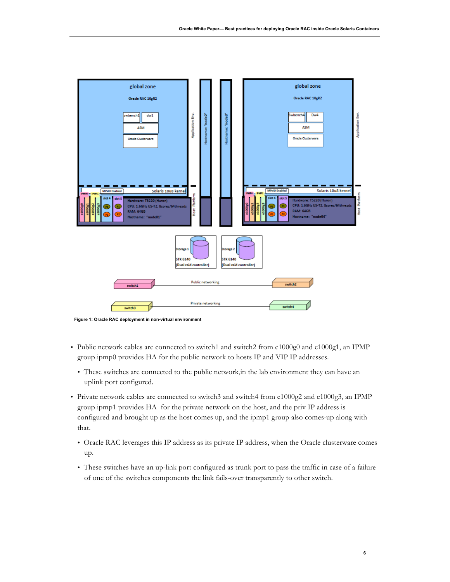

**Figure 1: Oracle RAC deployment in non-virtual environment**

- Public network cables are connected to switch1 and switch2 from e1000g0 and e1000g1, an IPMP group ipmp0 provides HA for the public network to hosts IP and VIP IP addresses.
	- These switches are connected to the public network,in the lab environment they can have an uplink port configured.
- Private network cables are connected to switch3 and switch4 from e1000g2 and e1000g3, an IPMP group ipmp1 provides HA for the private network on the host, and the priv IP address is configured and brought up as the host comes up, and the ipmp1 group also comes-up along with that.
	- Oracle RAC leverages this IP address as its private IP address, when the Oracle clusterware comes up.
	- These switches have an up-link port configured as trunk port to pass the traffic in case of a failure of one of the switches components the link fails-over transparently to other switch.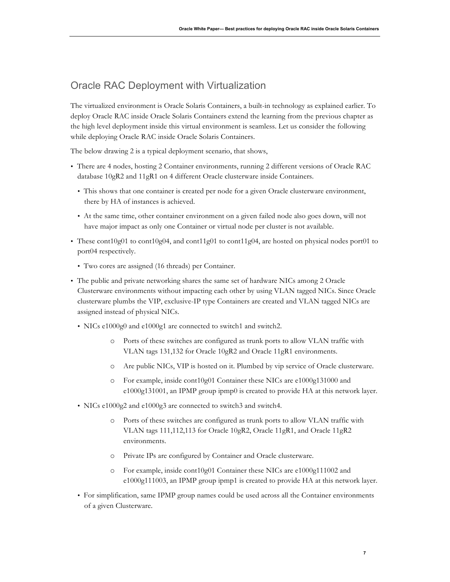# Oracle RAC Deployment with Virtualization

The virtualized environment is Oracle Solaris Containers, a built-in technology as explained earlier. To deploy Oracle RAC inside Oracle Solaris Containers extend the learning from the previous chapter as the high level deployment inside this virtual environment is seamless. Let us consider the following while deploying Oracle RAC inside Oracle Solaris Containers.

The below drawing 2 is a typical deployment scenario, that shows,

- There are 4 nodes, hosting 2 Container environments, running 2 different versions of Oracle RAC database 10gR2 and 11gR1 on 4 different Oracle clusterware inside Containers.
	- This shows that one container is created per node for a given Oracle clusterware environment, there by HA of instances is achieved.
	- At the same time, other container environment on a given failed node also goes down, will not have major impact as only one Container or virtual node per cluster is not available.
- These cont10g01 to cont10g04, and cont11g01 to cont11g04, are hosted on physical nodes port01 to port04 respectively.
	- Two cores are assigned (16 threads) per Container.
- The public and private networking shares the same set of hardware NICs among 2 Oracle Clusterware environments without impacting each other by using VLAN tagged NICs. Since Oracle clusterware plumbs the VIP, exclusive-IP type Containers are created and VLAN tagged NICs are assigned instead of physical NICs.
	- NICs e1000g0 and e1000g1 are connected to switch1 and switch2.
		- o Ports of these switches are configured as trunk ports to allow VLAN traffic with VLAN tags 131,132 for Oracle 10gR2 and Oracle 11gR1 environments.
		- o Are public NICs, VIP is hosted on it. Plumbed by vip service of Oracle clusterware.
		- o For example, inside cont10g01 Container these NICs are e1000g131000 and e1000g131001, an IPMP group ipmp0 is created to provide HA at this network layer.
	- NICs e1000g2 and e1000g3 are connected to switch3 and switch4.
		- o Ports of these switches are configured as trunk ports to allow VLAN traffic with VLAN tags 111,112,113 for Oracle 10gR2, Oracle 11gR1, and Oracle 11gR2 environments.
		- o Private IPs are configured by Container and Oracle clusterware.
		- o For example, inside cont10g01 Container these NICs are e1000g111002 and e1000g111003, an IPMP group ipmp1 is created to provide HA at this network layer.
	- For simplification, same IPMP group names could be used across all the Container environments of a given Clusterware.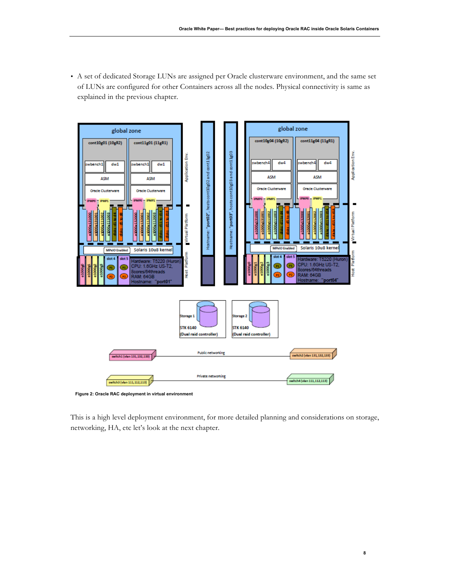• A set of dedicated Storage LUNs are assigned per Oracle clusterware environment, and the same set of LUNs are configured for other Containers across all the nodes. Physical connectivity is same as explained in the previous chapter.

![](_page_9_Figure_2.jpeg)

**Figure 2: Oracle RAC deployment in virtual environment**

This is a high level deployment environment, for more detailed planning and considerations on storage, networking, HA, etc let's look at the next chapter.

**8**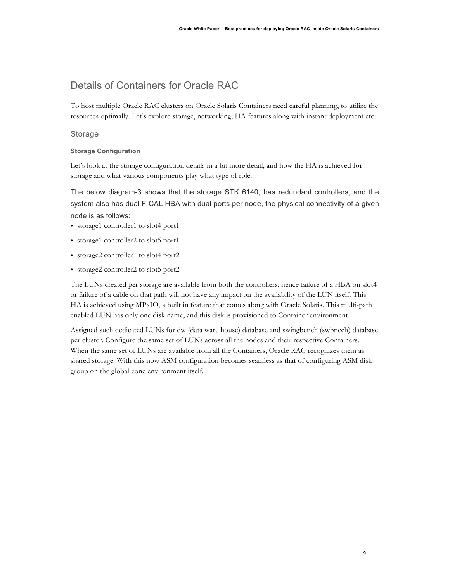## Details of Containers for Oracle RAC

To host multiple Oracle RAC clusters on Oracle Solaris Containers need careful planning, to utilize the resources optimally. Let's explore storage, networking, HA features along with instant deployment etc.

### **Storage**

#### **Storage Configuration**

Let's look at the storage configuration details in a bit more detail, and how the HA is achieved for storage and what various components play what type of role.

The below diagram-3 shows that the storage STK 6140, has redundant controllers, and the system also has dual F-CAL HBA with dual ports per node, the physical connectivity of a given node is as follows:

- storage1 controller1 to slot4 port1
- storage1 controller2 to slot5 port1
- storage2 controller1 to slot4 port2
- storage2 controller2 to slot5 port2

The LUNs created per storage are available from both the controllers; hence failure of a HBA on slot4 or failure of a cable on that path will not have any impact on the availability of the LUN itself. This HA is achieved using MPxIO, a built in feature that comes along with Oracle Solaris. This multi-path enabled LUN has only one disk name, and this disk is provisioned to Container environment.

Assigned such dedicated LUNs for dw (data ware house) database and swingbench (swbnech) database per cluster. Configure the same set of LUNs across all the nodes and their respective Containers. When the same set of LUNs are available from all the Containers, Oracle RAC recognizes them as shared storage. With this now ASM configuration becomes seamless as that of configuring ASM disk group on the global zone environment itself.

**9**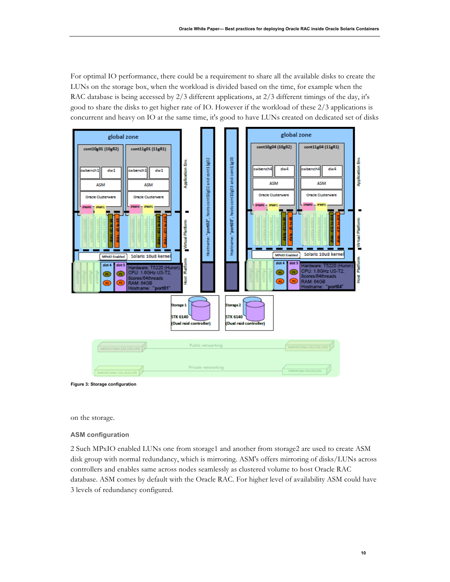For optimal IO performance, there could be a requirement to share all the available disks to create the LUNs on the storage box, when the workload is divided based on the time, for example when the RAC database is being accessed by 2/3 different applications, at 2/3 different timings of the day, it's good to share the disks to get higher rate of IO. However if the workload of these 2/3 applications is concurrent and heavy on IO at the same time, it's good to have LUNs created on dedicated set of disks

![](_page_11_Figure_2.jpeg)

**Figure 3: Storage configuration**

on the storage.

#### **ASM configuration**

2 Such MPxIO enabled LUNs one from storage1 and another from storage2 are used to create ASM disk group with normal redundancy, which is mirroring. ASM's offers mirroring of disks/LUNs across controllers and enables same across nodes seamlessly as clustered volume to host Oracle RAC database. ASM comes by default with the Oracle RAC. For higher level of availability ASM could have 3 levels of redundancy configured.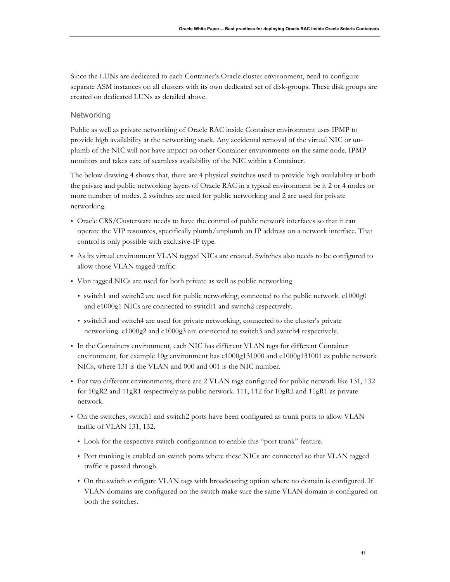Since the LUNs are dedicated to each Container's Oracle cluster environment, need to configure separate ASM instances on all clusters with its own dedicated set of disk-groups. These disk groups are created on dedicated LUNs as detailed above.

### **Networking**

Public as well as private networking of Oracle RAC inside Container environment uses IPMP to provide high availability at the networking stack. Any accidental removal of the virtual NIC or unplumb of the NIC will not have impact on other Container environments on the same node. IPMP monitors and takes care of seamless availability of the NIC within a Container.

The below drawing 4 shows that, there are 4 physical switches used to provide high availability at both the private and public networking layers of Oracle RAC in a typical environment be it 2 or 4 nodes or more number of nodes. 2 switches are used for public networking and 2 are used for private networking.

- Oracle CRS/Clusterware needs to have the control of public network interfaces so that it can operate the VIP resources, specifically plumb/unplumb an IP address on a network interface. That control is only possible with exclusive-IP type.
- As its virtual environment VLAN tagged NICs are created. Switches also needs to be configured to allow those VLAN tagged traffic.
- Vlan tagged NICs are used for both private as well as public networking.
	- switch1 and switch2 are used for public networking, connected to the public network. e1000g0 and e1000g1 NICs are connected to switch1 and switch2 respectively.
	- switch3 and switch4 are used for private networking, connected to the cluster's private networking. e1000g2 and e1000g3 are connected to switch3 and switch4 respectively.
- In the Containers environment, each NIC has different VLAN tags for different Container environment, for example 10g environment has e1000g131000 and e1000g131001 as public network NICs, where 131 is the VLAN and 000 and 001 is the NIC number.
- For two different environments, there are 2 VLAN tags configured for public network like 131, 132 for 10gR2 and 11gR1 respectively as public network. 111, 112 for 10gR2 and 11gR1 as private network.
- On the switches, switch1 and switch2 ports have been configured as trunk ports to allow VLAN traffic of VLAN 131, 132.
	- Look for the respective switch configuration to enable this "port trunk" feature.
	- Port trunking is enabled on switch ports where these NICs are connected so that VLAN tagged traffic is passed through.
	- On the switch configure VLAN tags with broadcasting option where no domain is configured. If VLAN domains are configured on the switch make sure the same VLAN domain is configured on both the switches.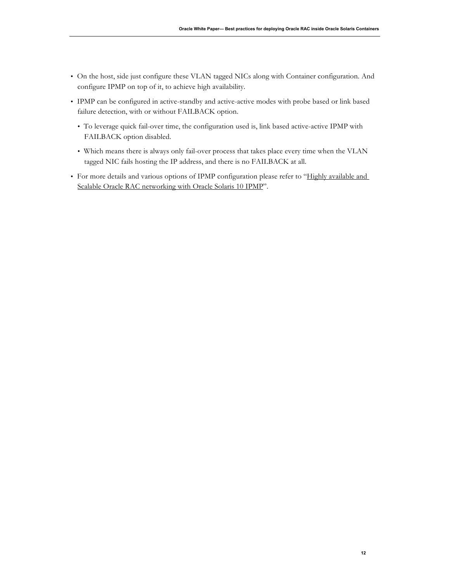- On the host, side just configure these VLAN tagged NICs along with Container configuration. And configure IPMP on top of it, to achieve high availability.
- IPMP can be configured in active-standby and active-active modes with probe based or link based failure detection, with or without FAILBACK option.
	- To leverage quick fail-over time, the configuration used is, link based active-active IPMP with FAILBACK option disabled.
	- Which means there is always only fail-over process that takes place every time when the VLAN tagged NIC fails hosting the IP address, and there is no FAILBACK at all.
- For more details and various options of IPMP configuration please refer to "Highly available and Scalable Oracle RAC networking with Oracle Solaris 10 IPMP".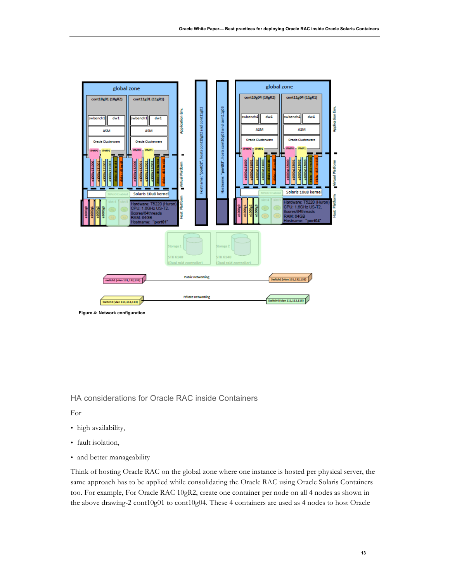![](_page_14_Figure_1.jpeg)

HA considerations for Oracle RAC inside Containers

For

- high availability,
- fault isolation,
- and better manageability

Think of hosting Oracle RAC on the global zone where one instance is hosted per physical server, the same approach has to be applied while consolidating the Oracle RAC using Oracle Solaris Containers too. For example, For Oracle RAC 10gR2, create one container per node on all 4 nodes as shown in the above drawing-2 cont10g01 to cont10g04. These 4 containers are used as 4 nodes to host Oracle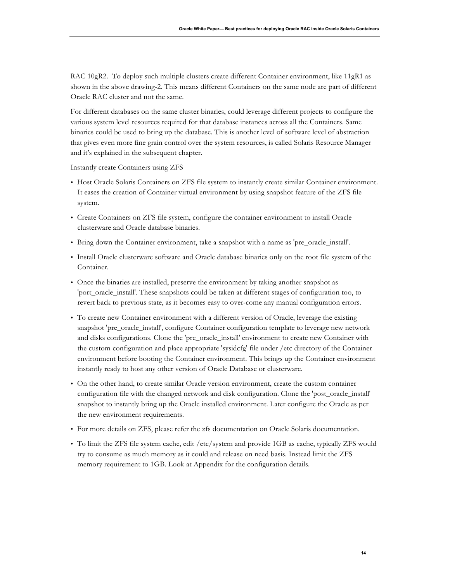RAC 10gR2. To deploy such multiple clusters create different Container environment, like 11gR1 as shown in the above drawing-2. This means different Containers on the same node are part of different Oracle RAC cluster and not the same.

For different databases on the same cluster binaries, could leverage different projects to configure the various system level resources required for that database instances across all the Containers. Same binaries could be used to bring up the database. This is another level of software level of abstraction that gives even more fine grain control over the system resources, is called Solaris Resource Manager and it's explained in the subsequent chapter.

Instantly create Containers using ZFS

- Host Oracle Solaris Containers on ZFS file system to instantly create similar Container environment. It eases the creation of Container virtual environment by using snapshot feature of the ZFS file system.
- Create Containers on ZFS file system, configure the container environment to install Oracle clusterware and Oracle database binaries.
- Bring down the Container environment, take a snapshot with a name as 'pre\_oracle\_install'.
- Install Oracle clusterware software and Oracle database binaries only on the root file system of the Container.
- Once the binaries are installed, preserve the environment by taking another snapshot as 'port\_oracle\_install'. These snapshots could be taken at different stages of configuration too, to revert back to previous state, as it becomes easy to over-come any manual configuration errors.
- To create new Container environment with a different version of Oracle, leverage the existing snapshot 'pre\_oracle\_install', configure Container configuration template to leverage new network and disks configurations. Clone the 'pre\_oracle\_install' environment to create new Container with the custom configuration and place appropriate 'sysidcfg' file under /etc directory of the Container environment before booting the Container environment. This brings up the Container environment instantly ready to host any other version of Oracle Database or clusterware.
- On the other hand, to create similar Oracle version environment, create the custom container configuration file with the changed network and disk configuration. Clone the 'post\_oracle\_install' snapshot to instantly bring up the Oracle installed environment. Later configure the Oracle as per the new environment requirements.
- For more details on ZFS, please refer the zfs documentation on Oracle Solaris documentation.
- To limit the ZFS file system cache, edit /etc/system and provide 1GB as cache, typically ZFS would try to consume as much memory as it could and release on need basis. Instead limit the ZFS memory requirement to 1GB. Look at Appendix for the configuration details.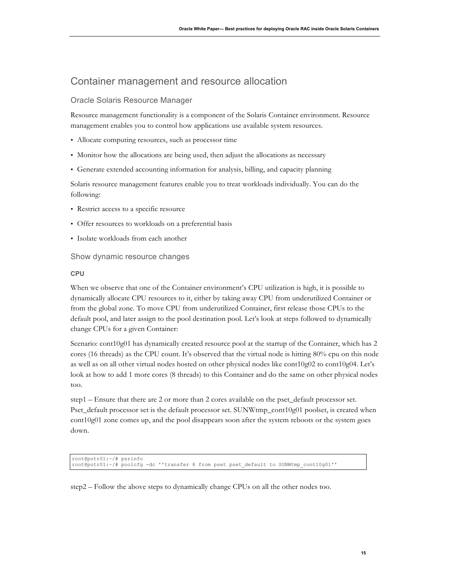## Container management and resource allocation

### Oracle Solaris Resource Manager

Resource management functionality is a component of the Solaris Container environment. Resource management enables you to control how applications use available system resources.

- Allocate computing resources, such as processor time
- Monitor how the allocations are being used, then adjust the allocations as necessary
- Generate extended accounting information for analysis, billing, and capacity planning

Solaris resource management features enable you to treat workloads individually. You can do the following:

- Restrict access to a specific resource
- Offer resources to workloads on a preferential basis
- Isolate workloads from each another

### Show dynamic resource changes

### **CPU**

When we observe that one of the Container environment's CPU utilization is high, it is possible to dynamically allocate CPU resources to it, either by taking away CPU from underutilized Container or from the global zone. To move CPU from underutilized Container, first release those CPUs to the default pool, and later assign to the pool destination pool. Let's look at steps followed to dynamically change CPUs for a given Container:

Scenario: cont10g01 has dynamically created resource pool at the startup of the Container, which has 2 cores (16 threads) as the CPU count. It's observed that the virtual node is hitting 80% cpu on this node as well as on all other virtual nodes hosted on other physical nodes like cont10g02 to cont10g04. Let's look at how to add 1 more cores (8 threads) to this Container and do the same on other physical nodes too.

step1 – Ensure that there are 2 or more than 2 cores available on the pset\_default processor set. Pset\_default processor set is the default processor set. SUNWtmp\_cont10g01 poolset, is created when cont10g01 zone comes up, and the pool disappears soon after the system reboots or the system goes down.

```
root@potr01:~/# psrinfo
root@potr01:~/# poolcfg -dc ''transfer 8 from pset pset_default to SUNWtmp_cont10g01''
```
step2 – Follow the above steps to dynamically change CPUs on all the other nodes too.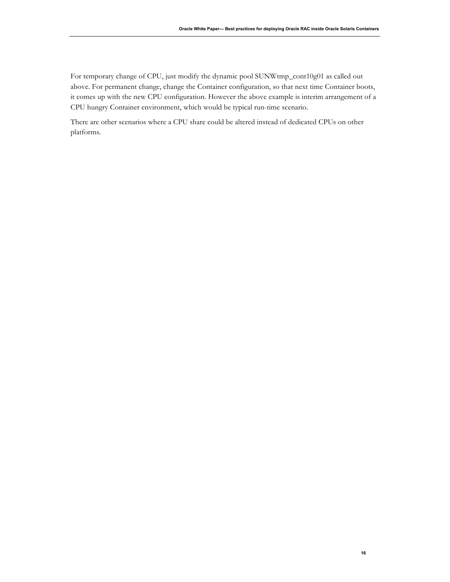For temporary change of CPU, just modify the dynamic pool SUNWtmp\_cont10g01 as called out above. For permanent change, change the Container configuration, so that next time Container boots, it comes up with the new CPU configuration. However the above example is interim arrangement of a CPU hungry Container environment, which would be typical run-time scenario.

There are other scenarios where a CPU share could be altered instead of dedicated CPUs on other platforms.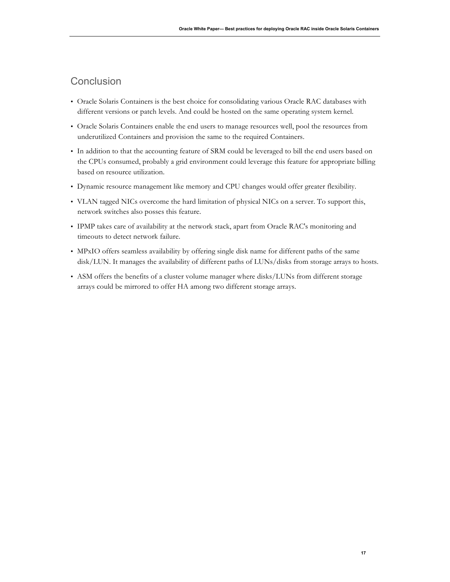## **Conclusion**

- Oracle Solaris Containers is the best choice for consolidating various Oracle RAC databases with different versions or patch levels. And could be hosted on the same operating system kernel.
- Oracle Solaris Containers enable the end users to manage resources well, pool the resources from underutilized Containers and provision the same to the required Containers.
- In addition to that the accounting feature of SRM could be leveraged to bill the end users based on the CPUs consumed, probably a grid environment could leverage this feature for appropriate billing based on resource utilization.
- Dynamic resource management like memory and CPU changes would offer greater flexibility.
- VLAN tagged NICs overcome the hard limitation of physical NICs on a server. To support this, network switches also posses this feature.
- IPMP takes care of availability at the network stack, apart from Oracle RAC's monitoring and timeouts to detect network failure.
- MPxIO offers seamless availability by offering single disk name for different paths of the same disk/LUN. It manages the availability of different paths of LUNs/disks from storage arrays to hosts.
- ASM offers the benefits of a cluster volume manager where disks/LUNs from different storage arrays could be mirrored to offer HA among two different storage arrays.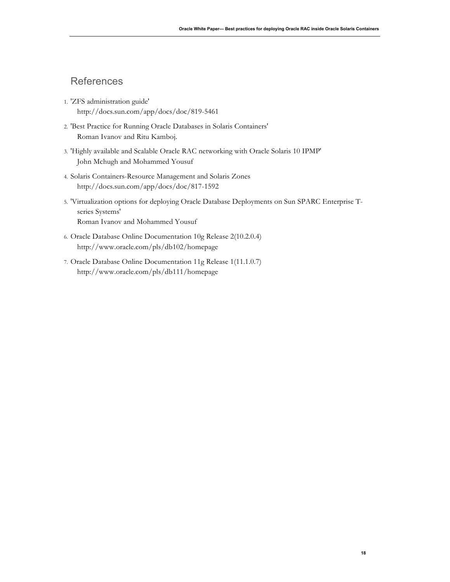## **References**

- 1. 'ZFS administration guide' http://docs.sun.com/app/docs/doc/819-5461
- 2. 'Best Practice for Running Oracle Databases in Solaris Containers' Roman Ivanov and Ritu Kamboj.
- 3. 'Highly available and Scalable Oracle RAC networking with Oracle Solaris 10 IPMP' John Mchugh and Mohammed Yousuf
- 4. Solaris Containers-Resource Management and Solaris Zones http://docs.sun.com/app/docs/doc/817-1592
- 5. 'Virtualization options for deploying Oracle Database Deployments on Sun SPARC Enterprise Tseries Systems' Roman Ivanov and Mohammed Yousuf
- 6. Oracle Database Online Documentation 10g Release 2(10.2.0.4) http://www.oracle.com/pls/db102/homepage
- 7. Oracle Database Online Documentation 11g Release 1(11.1.0.7) http://www.oracle.com/pls/db111/homepage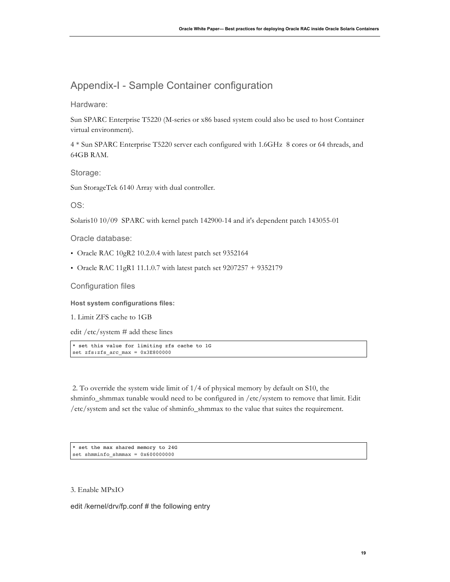# Appendix-I - Sample Container configuration

Hardware:

Sun SPARC Enterprise T5220 (M-series or x86 based system could also be used to host Container virtual environment).

4 \* Sun SPARC Enterprise T5220 server each configured with 1.6GHz 8 cores or 64 threads, and 64GB RAM.

Storage:

Sun StorageTek 6140 Array with dual controller.

OS:

Solaris10 10/09 SPARC with kernel patch 142900-14 and it's dependent patch 143055-01

Oracle database:

- Oracle RAC 10gR2 10.2.0.4 with latest patch set 9352164
- Oracle RAC 11gR1 11.1.0.7 with latest patch set  $9207257 + 9352179$

Configuration files

**Host system configurations files:**

1. Limit ZFS cache to 1GB

edit /etc/system # add these lines

\* set this value for limiting zfs cache to 1G set zfs:zfs\_arc\_max = 0x3E800000

2. To override the system wide limit of 1/4 of physical memory by default on S10, the shminfo\_shmmax tunable would need to be configured in /etc/system to remove that limit. Edit /etc/system and set the value of shminfo\_shmmax to the value that suites the requirement.

\* set the max shared memory to 24G set shmminfo shmmax =  $0x600000000$ 

3. Enable MPxIO

edit /kernel/drv/fp.conf # the following entry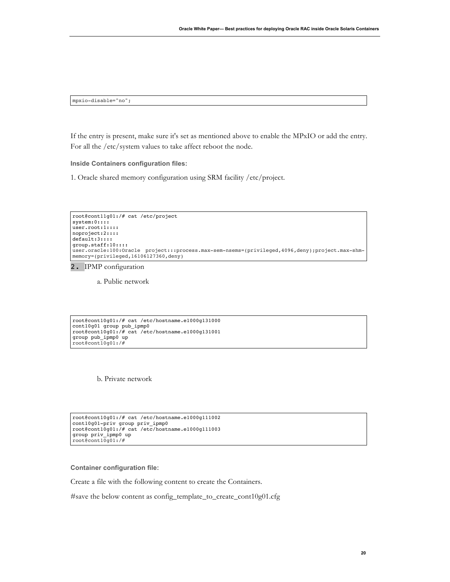mpxio-disable="no";

If the entry is present, make sure it's set as mentioned above to enable the MPxIO or add the entry. For all the /etc/system values to take affect reboot the node.

**Inside Containers configuration files:**

1. Oracle shared memory configuration using SRM facility /etc/project.

```
root@cont11g01:/# cat /etc/project
system:0::::
user.root:1::::
noproject:2::::
default:3::::
group.staff:10::::
user.oracle:100:Oracle project:::process.max-sem-nsems=(privileged,4096,deny);project.max-shm-
memory=(privileged,16106127360,deny)
```
2. IPMP configuration

a. Public network

root@cont10g01:/# cat /etc/hostname.e1000g131000 cont10g01 group pub\_ipmp0 root@cont10g01:/# cat /etc/hostname.e1000g131001 group pub\_ipmp0 up root@cont10g01:/#

b. Private network

```
root@cont10g01:/# cat /etc/hostname.e1000g111002
cont10g01-priv group priv_ipmp0
root@cont10g01:/# cat /etc/hostname.e1000g111003
group priv_ipmp0 up
root@cont10g01:/#
```
#### **Container configuration file:**

Create a file with the following content to create the Containers.

#save the below content as config\_template\_to\_create\_cont10g01.cfg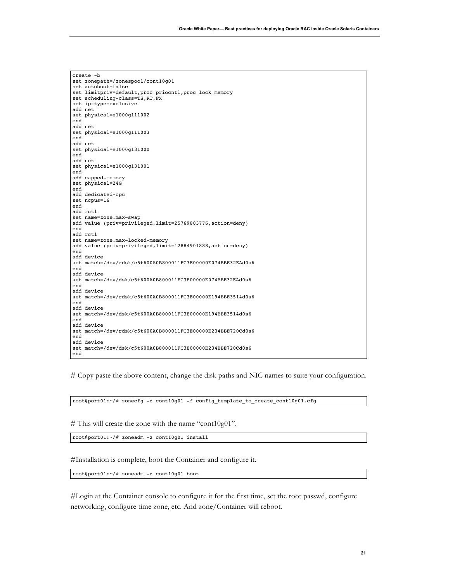|     | create -b                                                   |
|-----|-------------------------------------------------------------|
|     | set zonepath=/zonespool/cont10q01                           |
|     | set autoboot=false                                          |
|     | set limitpriv=default, proc priocntl, proc lock memory      |
|     | set scheduling-class=TS,RT,FX                               |
|     | set ip-type=exclusive                                       |
|     | add net                                                     |
|     | set physical=e1000q111002                                   |
| end |                                                             |
|     | add net                                                     |
|     |                                                             |
|     | set physical=e1000q111003                                   |
| end |                                                             |
|     | add net                                                     |
|     | set physical=e1000q131000                                   |
| end |                                                             |
|     | add net                                                     |
|     | set physical=e1000q131001                                   |
| end |                                                             |
|     | add capped-memory                                           |
|     | set physical=24G                                            |
| end |                                                             |
|     | add dedicated-cpu                                           |
|     | set ncpus=16                                                |
| end |                                                             |
|     | add rctl                                                    |
|     | set name=zone.max-swap                                      |
|     | add value (priv=privileged, limit=25769803776, action=deny) |
| end |                                                             |
|     | add rctl                                                    |
|     | set name=zone.max-locked-memory                             |
|     | add value (priv=privileged, limit=12884901888, action=deny) |
| end |                                                             |
|     | add device                                                  |
|     | set match=/dev/rdsk/c5t600A0B800011FC3E00000E074BBE32EAd0s6 |
| end |                                                             |
|     |                                                             |
|     | add device                                                  |
|     | set match=/dev/dsk/c5t600A0B800011FC3E00000E074BBE32EAd0s6  |
| end |                                                             |
|     | add device                                                  |
|     | set match=/dev/rdsk/c5t600A0B800011FC3E00000E194BBE3514d0s6 |
| end |                                                             |
|     | add device                                                  |
|     | set match=/dev/dsk/c5t600A0B800011FC3E00000E194BBE3514d0s6  |
| end |                                                             |
|     | add device                                                  |
|     | set match=/dev/rdsk/c5t600A0B800011FC3E00000E234BBE720Cd0s6 |
| end |                                                             |
|     | add device                                                  |
|     | set match=/dev/dsk/c5t600A0B800011FC3E00000E234BBE720Cd0s6  |
| end |                                                             |

# Copy paste the above content, change the disk paths and NIC names to suite your configuration.

root@port01:~/# zonecfg -z cont10g01 -f config\_template\_to\_create\_cont10g01.cfg

# This will create the zone with the name "cont10g01".

root@port01:~/# zoneadm -z cont10g01 install

#Installation is complete, boot the Container and configure it.

root@port01:~/# zoneadm -z cont10g01 boot

#Login at the Container console to configure it for the first time, set the root passwd, configure networking, configure time zone, etc. And zone/Container will reboot.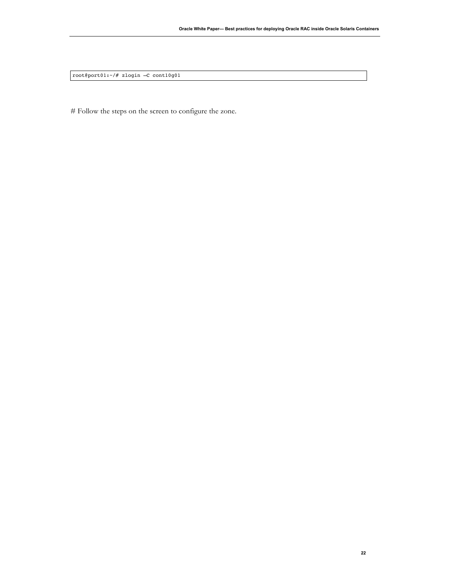root@port01:~/# zlogin –C cont10g01

# Follow the steps on the screen to configure the zone.